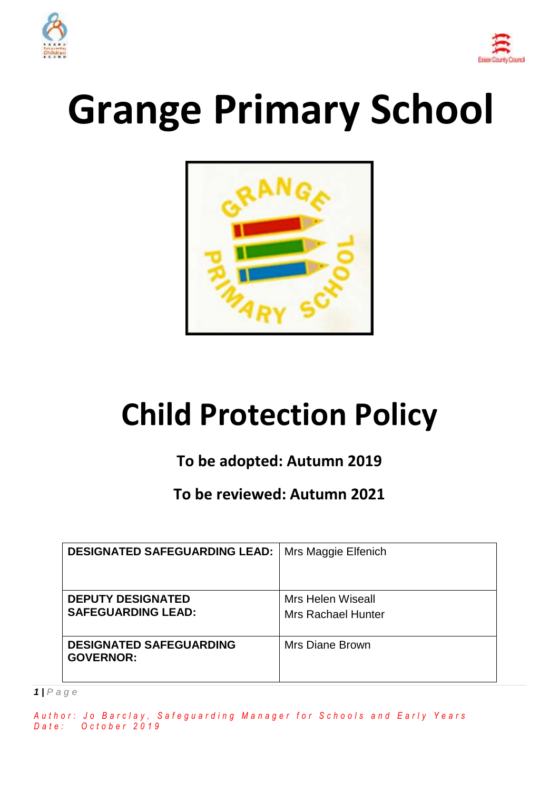



# **Grange Primary School**



## **Child Protection Policy**

### **To be adopted: Autumn 2019**

**To be reviewed: Autumn 2021**

| <b>DESIGNATED SAFEGUARDING LEAD:</b>                  | Mrs Maggie Elfenich                            |
|-------------------------------------------------------|------------------------------------------------|
| <b>DEPUTY DESIGNATED</b><br><b>SAFEGUARDING LEAD:</b> | Mrs Helen Wiseall<br><b>Mrs Rachael Hunter</b> |
| <b>DESIGNATED SAFEGUARDING</b><br><b>GOVERNOR:</b>    | Mrs Diane Brown                                |

*1 | P a g e*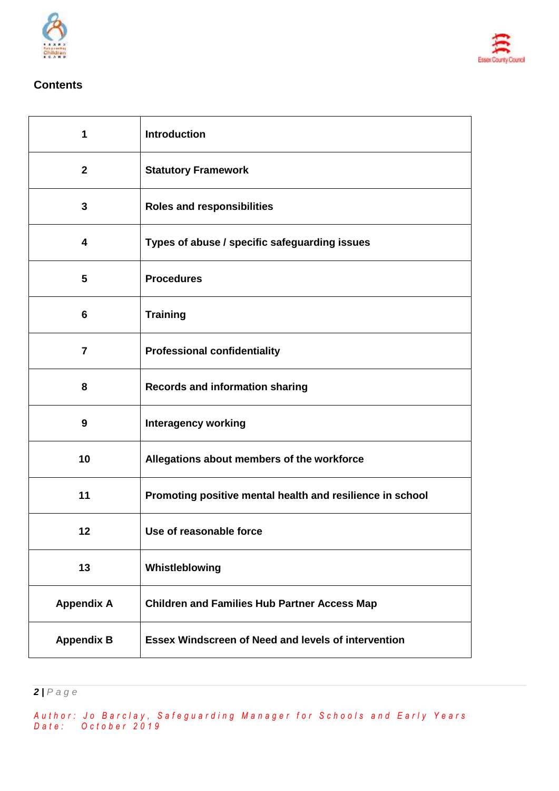



#### **Contents**

 $\overline{1}$ 

 $\mathbf{r}$ 

| 1                       | <b>Introduction</b>                                        |
|-------------------------|------------------------------------------------------------|
| $\mathbf{2}$            | <b>Statutory Framework</b>                                 |
| $\mathbf{3}$            | <b>Roles and responsibilities</b>                          |
| 4                       | Types of abuse / specific safeguarding issues              |
| $\overline{\mathbf{5}}$ | <b>Procedures</b>                                          |
| 6                       | <b>Training</b>                                            |
| $\overline{7}$          | <b>Professional confidentiality</b>                        |
| 8                       | <b>Records and information sharing</b>                     |
| 9                       | <b>Interagency working</b>                                 |
| 10                      | Allegations about members of the workforce                 |
| 11                      | Promoting positive mental health and resilience in school  |
| 12                      | Use of reasonable force                                    |
| 13                      | Whistleblowing                                             |
| <b>Appendix A</b>       | <b>Children and Families Hub Partner Access Map</b>        |
| <b>Appendix B</b>       | <b>Essex Windscreen of Need and levels of intervention</b> |

*| P a g e*

*A u t h o r : J o B a r c l a y , S a f e g u a r d i n g M a n a g e r f o r S c h o o l s a n d E a r l y Y e a r s D a t e : O c t o b e r 2 0 1 9*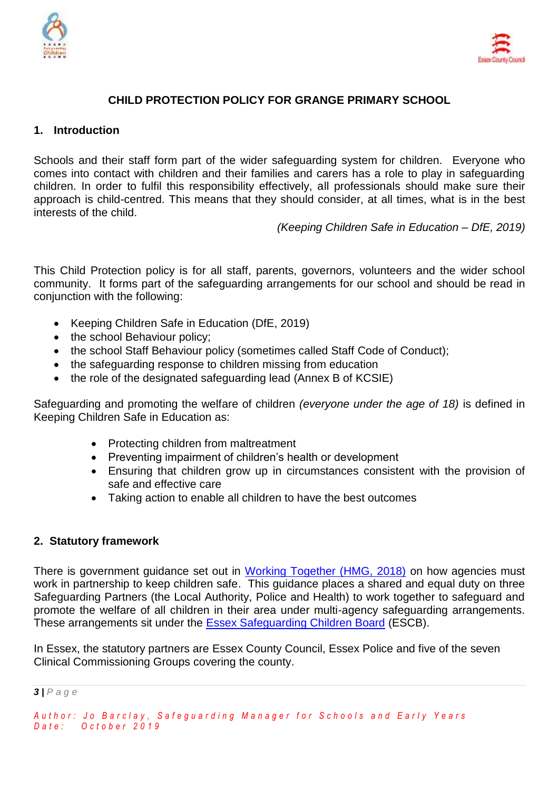



#### **CHILD PROTECTION POLICY FOR GRANGE PRIMARY SCHOOL**

#### **1. Introduction**

Schools and their staff form part of the wider safeguarding system for children. Everyone who comes into contact with children and their families and carers has a role to play in safeguarding children. In order to fulfil this responsibility effectively, all professionals should make sure their approach is child-centred. This means that they should consider, at all times, what is in the best interests of the child.

*(Keeping Children Safe in Education – DfE, 2019)*

This Child Protection policy is for all staff, parents, governors, volunteers and the wider school community. It forms part of the safeguarding arrangements for our school and should be read in conjunction with the following:

- Keeping Children Safe in Education (DfE, 2019)
- the school Behaviour policy;
- the school Staff Behaviour policy (sometimes called Staff Code of Conduct);
- the safeguarding response to children missing from education
- the role of the designated safeguarding lead (Annex B of KCSIE)

Safeguarding and promoting the welfare of children *(everyone under the age of 18)* is defined in Keeping Children Safe in Education as:

- Protecting children from maltreatment
- Preventing impairment of children's health or development
- Ensuring that children grow up in circumstances consistent with the provision of safe and effective care
- Taking action to enable all children to have the best outcomes

#### **2. Statutory framework**

There is government guidance set out in [Working Together \(HMG, 2018\)](https://assets.publishing.service.gov.uk/government/uploads/system/uploads/attachment_data/file/729914/Working_Together_to_Safeguard_Children-2018.pdf) on how agencies must work in partnership to keep children safe. This guidance places a shared and equal duty on three Safeguarding Partners (the Local Authority, Police and Health) to work together to safeguard and promote the welfare of all children in their area under multi-agency safeguarding arrangements. These arrangements sit under the [Essex Safeguarding Children Board](http://www.escb.co.uk/Home.aspx) (ESCB).

In Essex, the statutory partners are Essex County Council, Essex Police and five of the seven Clinical Commissioning Groups covering the county.

*3 | P a g e*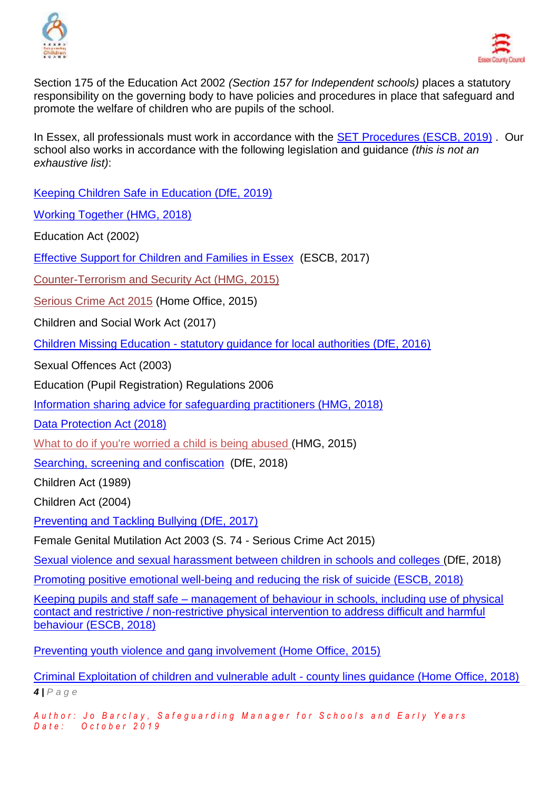



Section 175 of the Education Act 2002 *(Section 157 for Independent schools)* places a statutory responsibility on the governing body to have policies and procedures in place that safeguard and promote the welfare of children who are pupils of the school.

In Essex, all professionals must work in accordance with the [SET Procedures \(ESCB, 2019\)](http://www.escb.co.uk/) . Our school also works in accordance with the following legislation and guidance *(this is not an exhaustive list)*:

[Keeping Children Safe in Education \(DfE, 2019\)](https://assets.publishing.service.gov.uk/government/uploads/system/uploads/attachment_data/file/811513/DRAFT_Keeping_children_safe_in_education_2019.pdf)

[Working Together \(HMG, 2018\)](https://assets.publishing.service.gov.uk/government/uploads/system/uploads/attachment_data/file/729914/Working_Together_to_Safeguard_Children-2018.pdf)

Education Act (2002)

[Effective Support for Children and Families in Essex](http://www.escb.co.uk/Portals/67/Documents/professionals/EffectiveSupportBooklet2017v5-FINAL.pdf) (ESCB, 2017)

[Counter-Terrorism and Security Act \(HMG, 2015\)](http://www.legislation.gov.uk/ukpga/2015/6/contents)

[Serious Crime Act 2015](https://www.gov.uk/government/collections/serious-crime-bill) (Home Office, 2015)

Children and Social Work Act (2017)

Children Missing Education - [statutory guidance for local authorities \(DfE, 2016\)](https://assets.publishing.service.gov.uk/government/uploads/system/uploads/attachment_data/file/550416/Children_Missing_Education_-_statutory_guidance.pdf)

Sexual Offences Act (2003)

Education (Pupil Registration) Regulations 2006

[Information sharing advice for safeguarding practitioners \(HMG, 2018\)](https://assets.publishing.service.gov.uk/government/uploads/system/uploads/attachment_data/file/721581/Information_sharing_advice_practitioners_safeguarding_services.pdf)

[Data Protection Act \(2018\)](http://www.legislation.gov.uk/ukpga/2018/12/pdfs/ukpga_20180012_en.pdf)

[What to do if you're worried a child is being abused \(](https://www.gov.uk/government/uploads/system/uploads/attachment_data/file/419604/What_to_do_if_you_re_worried_a_child_is_being_abused.pdf)HMG, 2015)

[Searching, screening and confiscation](https://assets.publishing.service.gov.uk/government/uploads/system/uploads/attachment_data/file/674416/Searching_screening_and_confiscation.pdf) (DfE, 2018)

Children Act (1989)

Children Act (2004)

[Preventing and Tackling Bullying \(DfE, 2017\)](https://www.gov.uk/government/uploads/system/uploads/attachment_data/file/623895/Preventing_and_tackling_bullying_advice.pdf)

Female Genital Mutilation Act 2003 (S. 74 - Serious Crime Act 2015)

[Sexual violence and sexual harassment between children in schools and colleges \(](https://www.gov.uk/government/uploads/system/uploads/attachment_data/file/667862/Sexual_Harassment_and_Sexual_Violence_-_Advice.pdf)DfE, 2018)

[Promoting positive emotional well-being and reducing the risk of suicide \(ESCB, 2018\)](https://schools.essex.gov.uk/pupils/Safeguarding/Emotional_Wellbeing_and_Mental_Health/Documents/Promoting%20Positive%20Emotional%20Well-being%20and%20Reducing%20the%20Risk%20of%20Suicide%20-%20Autumn%202018.pdf)

Keeping pupils and staff safe – [management of behaviour in schools, including use of physical](https://schools.essex.gov.uk/pupils/Safeguarding/Behaviour_Management/Pages/default.aspx)  [contact and restrictive / non-restrictive physical intervention to address difficult and harmful](https://schools.essex.gov.uk/pupils/Safeguarding/Behaviour_Management/Pages/default.aspx)  [behaviour \(ESCB, 2018\)](https://schools.essex.gov.uk/pupils/Safeguarding/Behaviour_Management/Pages/default.aspx)

[Preventing youth violence and gang involvement \(Home Office, 2015\)](https://assets.publishing.service.gov.uk/government/uploads/system/uploads/attachment_data/file/418131/Preventing_youth_violence_and_gang_involvement_v3_March2015.pdf)

*4 | P a g e* [Criminal Exploitation of children and vulnerable adult -](https://assets.publishing.service.gov.uk/government/uploads/system/uploads/attachment_data/file/741194/HOCountyLinesGuidanceSept2018.pdf) county lines guidance (Home Office, 2018)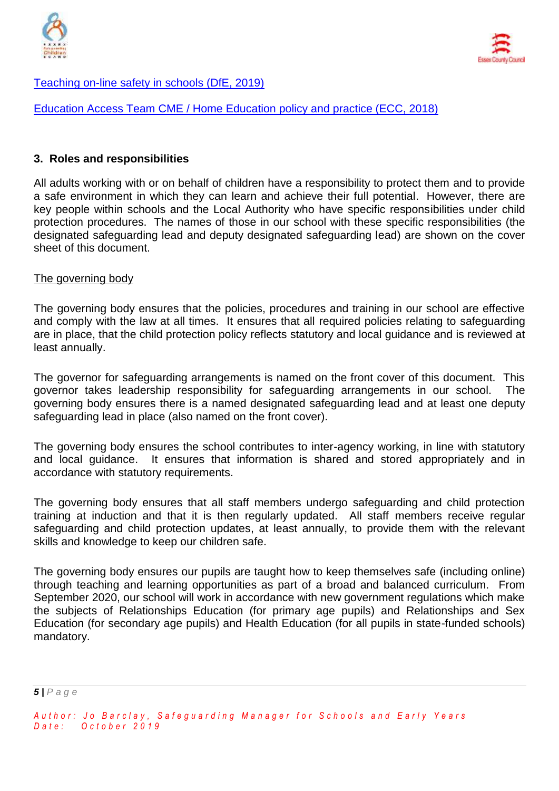



[Teaching on-line safety in schools \(DfE, 2019\)](https://assets.publishing.service.gov.uk/government/uploads/system/uploads/attachment_data/file/811796/Teaching_online_safety_in_school.pdf)

[Education Access Team CME / Home Education policy and practice \(ECC, 2018\)](https://schools.essex.gov.uk/pupils/Education_Access/Documents/Education%20Access%20-%20CME%20and%20EHE%20Team%20-%20Policy%20and%20Practice%20Guidance%20document.pdf)

#### **3. Roles and responsibilities**

All adults working with or on behalf of children have a responsibility to protect them and to provide a safe environment in which they can learn and achieve their full potential. However, there are key people within schools and the Local Authority who have specific responsibilities under child protection procedures. The names of those in our school with these specific responsibilities (the designated safeguarding lead and deputy designated safeguarding lead) are shown on the cover sheet of this document.

#### The governing body

The governing body ensures that the policies, procedures and training in our school are effective and comply with the law at all times. It ensures that all required policies relating to safeguarding are in place, that the child protection policy reflects statutory and local guidance and is reviewed at least annually.

The governor for safeguarding arrangements is named on the front cover of this document. This governor takes leadership responsibility for safeguarding arrangements in our school. The governing body ensures there is a named designated safeguarding lead and at least one deputy safeguarding lead in place (also named on the front cover).

The governing body ensures the school contributes to inter-agency working, in line with statutory and local guidance. It ensures that information is shared and stored appropriately and in accordance with statutory requirements.

The governing body ensures that all staff members undergo safeguarding and child protection training at induction and that it is then regularly updated. All staff members receive regular safeguarding and child protection updates, at least annually, to provide them with the relevant skills and knowledge to keep our children safe.

The governing body ensures our pupils are taught how to keep themselves safe (including online) through teaching and learning opportunities as part of a broad and balanced curriculum. From September 2020, our school will work in accordance with new government regulations which make the subjects of Relationships Education (for primary age pupils) and Relationships and Sex Education (for secondary age pupils) and Health Education (for all pupils in state-funded schools) mandatory.

*5 | P a g e*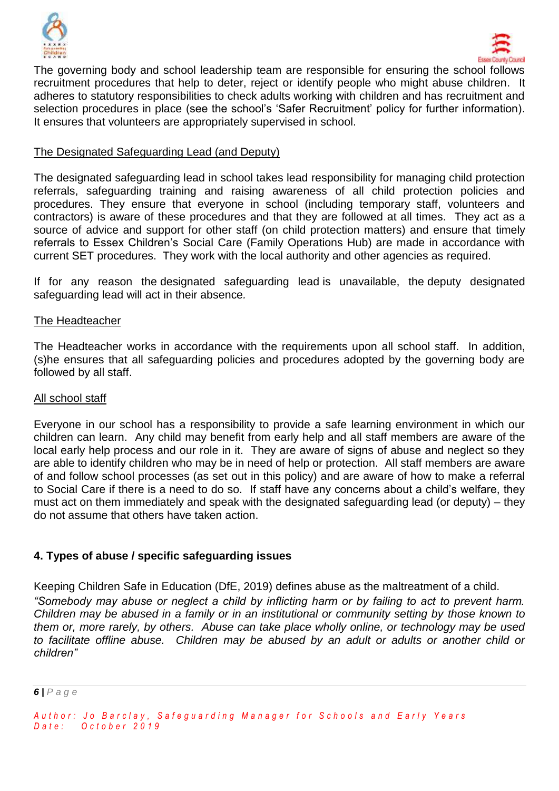



The governing body and school leadership team are responsible for ensuring the school follows recruitment procedures that help to deter, reject or identify people who might abuse children. It adheres to statutory responsibilities to check adults working with children and has recruitment and selection procedures in place (see the school's 'Safer Recruitment' policy for further information). It ensures that volunteers are appropriately supervised in school.

#### The Designated Safeguarding Lead (and Deputy)

The designated safeguarding lead in school takes lead responsibility for managing child protection referrals, safeguarding training and raising awareness of all child protection policies and procedures. They ensure that everyone in school (including temporary staff, volunteers and contractors) is aware of these procedures and that they are followed at all times. They act as a source of advice and support for other staff (on child protection matters) and ensure that timely referrals to Essex Children's Social Care (Family Operations Hub) are made in accordance with current SET procedures. They work with the local authority and other agencies as required.

If for any reason the designated safeguarding lead is unavailable, the deputy designated safeguarding lead will act in their absence*.* 

#### The Headteacher

The Headteacher works in accordance with the requirements upon all school staff. In addition, (s)he ensures that all safeguarding policies and procedures adopted by the governing body are followed by all staff.

#### All school staff

Everyone in our school has a responsibility to provide a safe learning environment in which our children can learn. Any child may benefit from early help and all staff members are aware of the local early help process and our role in it. They are aware of signs of abuse and neglect so they are able to identify children who may be in need of help or protection. All staff members are aware of and follow school processes (as set out in this policy) and are aware of how to make a referral to Social Care if there is a need to do so. If staff have any concerns about a child's welfare, they must act on them immediately and speak with the designated safeguarding lead (or deputy) – they do not assume that others have taken action.

#### **4. Types of abuse / specific safeguarding issues**

Keeping Children Safe in Education (DfE, 2019) defines abuse as the maltreatment of a child. *"Somebody may abuse or neglect a child by inflicting harm or by failing to act to prevent harm. Children may be abused in a family or in an institutional or community setting by those known to them or, more rarely, by others. Abuse can take place wholly online, or technology may be used to facilitate offline abuse. Children may be abused by an adult or adults or another child or children"*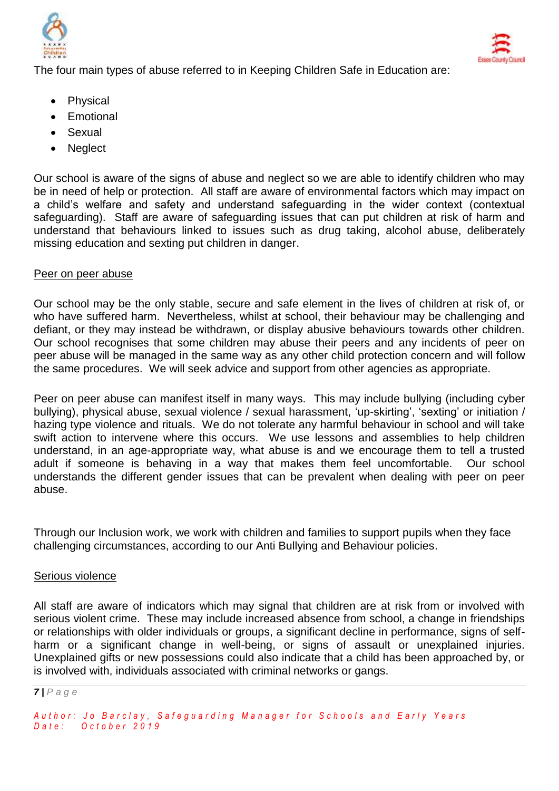



The four main types of abuse referred to in Keeping Children Safe in Education are:

- Physical
- Emotional
- Sexual
- Neglect

Our school is aware of the signs of abuse and neglect so we are able to identify children who may be in need of help or protection. All staff are aware of environmental factors which may impact on a child's welfare and safety and understand safeguarding in the wider context (contextual safeguarding). Staff are aware of safeguarding issues that can put children at risk of harm and understand that behaviours linked to issues such as drug taking, alcohol abuse, deliberately missing education and sexting put children in danger.

#### Peer on peer abuse

Our school may be the only stable, secure and safe element in the lives of children at risk of, or who have suffered harm. Nevertheless, whilst at school, their behaviour may be challenging and defiant, or they may instead be withdrawn, or display abusive behaviours towards other children. Our school recognises that some children may abuse their peers and any incidents of peer on peer abuse will be managed in the same way as any other child protection concern and will follow the same procedures. We will seek advice and support from other agencies as appropriate.

Peer on peer abuse can manifest itself in many ways. This may include bullying (including cyber bullying), physical abuse, sexual violence / sexual harassment, 'up-skirting', 'sexting' or initiation / hazing type violence and rituals. We do not tolerate any harmful behaviour in school and will take swift action to intervene where this occurs. We use lessons and assemblies to help children understand, in an age-appropriate way, what abuse is and we encourage them to tell a trusted adult if someone is behaving in a way that makes them feel uncomfortable. Our school understands the different gender issues that can be prevalent when dealing with peer on peer abuse.

Through our Inclusion work, we work with children and families to support pupils when they face challenging circumstances, according to our Anti Bullying and Behaviour policies.

#### Serious violence

All staff are aware of indicators which may signal that children are at risk from or involved with serious violent crime. These may include increased absence from school, a change in friendships or relationships with older individuals or groups, a significant decline in performance, signs of selfharm or a significant change in well-being, or signs of assault or unexplained injuries. Unexplained gifts or new possessions could also indicate that a child has been approached by, or is involved with, individuals associated with criminal networks or gangs.

*<sup>7</sup> | P a g e*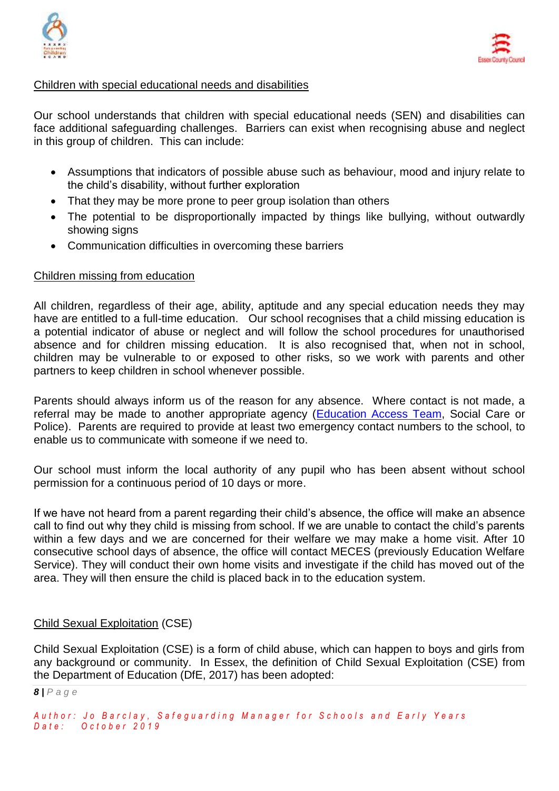



#### Children with special educational needs and disabilities

Our school understands that children with special educational needs (SEN) and disabilities can face additional safeguarding challenges. Barriers can exist when recognising abuse and neglect in this group of children. This can include:

- Assumptions that indicators of possible abuse such as behaviour, mood and injury relate to the child's disability, without further exploration
- That they may be more prone to peer group isolation than others
- The potential to be disproportionally impacted by things like bullying, without outwardly showing signs
- Communication difficulties in overcoming these barriers

#### Children missing from education

All children, regardless of their age, ability, aptitude and any special education needs they may have are entitled to a full-time education. Our school recognises that a child missing education is a potential indicator of abuse or neglect and will follow the school procedures for unauthorised absence and for children missing education. It is also recognised that, when not in school, children may be vulnerable to or exposed to other risks, so we work with parents and other partners to keep children in school whenever possible.

Parents should always inform us of the reason for any absence. Where contact is not made, a referral may be made to another appropriate agency [\(Education Access Team,](https://schools.essex.gov.uk/pupils/Education_Access/Pages/default.aspx) Social Care or Police). Parents are required to provide at least two emergency contact numbers to the school, to enable us to communicate with someone if we need to.

Our school must inform the local authority of any pupil who has been absent without school permission for a continuous period of 10 days or more.

If we have not heard from a parent regarding their child's absence, the office will make an absence call to find out why they child is missing from school. If we are unable to contact the child's parents within a few days and we are concerned for their welfare we may make a home visit. After 10 consecutive school days of absence, the office will contact MECES (previously Education Welfare Service). They will conduct their own home visits and investigate if the child has moved out of the area. They will then ensure the child is placed back in to the education system.

#### Child Sexual Exploitation (CSE)

Child Sexual Exploitation (CSE) is a form of child abuse, which can happen to boys and girls from any background or community. In Essex, the definition of Child Sexual Exploitation (CSE) from the Department of Education (DfE, 2017) has been adopted:

*<sup>8</sup> | P a g e*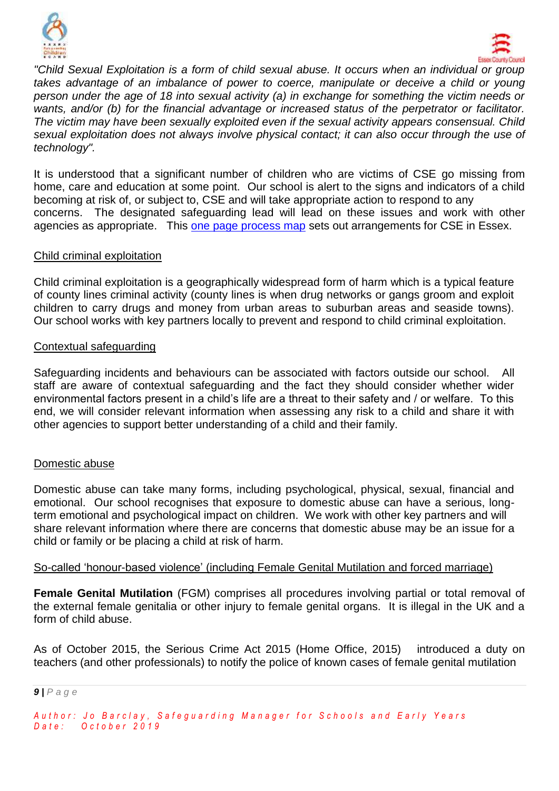



*"Child Sexual Exploitation is a form of child sexual abuse. It occurs when an individual or group takes advantage of an imbalance of power to coerce, manipulate or deceive a child or young person under the age of 18 into sexual activity (a) in exchange for something the victim needs or wants, and/or (b) for the financial advantage or increased status of the perpetrator or facilitator. The victim may have been sexually exploited even if the sexual activity appears consensual. Child sexual exploitation does not always involve physical contact; it can also occur through the use of technology".*

It is understood that a significant number of children who are victims of CSE go missing from home, care and education at some point. Our school is alert to the signs and indicators of a child becoming at risk of, or subject to, CSE and will take appropriate action to respond to any concerns. The designated safeguarding lead will lead on these issues and work with other agencies as appropriate. This [one page process map](http://www.escb.co.uk/Portals/67/Documents/CSE/CSE%201%20pager%20(April%2018).pdf) sets out arrangements for CSE in Essex.

#### Child criminal exploitation

Child criminal exploitation is a geographically widespread form of harm which is a typical feature of county lines criminal activity (county lines is when drug networks or gangs groom and exploit children to carry drugs and money from urban areas to suburban areas and seaside towns). Our school works with key partners locally to prevent and respond to child criminal exploitation.

#### Contextual safeguarding

Safeguarding incidents and behaviours can be associated with factors outside our school. All staff are aware of contextual safeguarding and the fact they should consider whether wider environmental factors present in a child's life are a threat to their safety and / or welfare. To this end, we will consider relevant information when assessing any risk to a child and share it with other agencies to support better understanding of a child and their family.

#### Domestic abuse

Domestic abuse can take many forms, including psychological, physical, sexual, financial and emotional. Our school recognises that exposure to domestic abuse can have a serious, longterm emotional and psychological impact on children. We work with other key partners and will share relevant information where there are concerns that domestic abuse may be an issue for a child or family or be placing a child at risk of harm.

#### So-called 'honour-based violence' (including Female Genital Mutilation and forced marriage)

**Female Genital Mutilation** (FGM) comprises all procedures involving partial or total removal of the external female genitalia or other injury to female genital organs. It is illegal in the UK and a form of child abuse.

As of October 2015, the Serious Crime Act 2015 (Home Office, 2015) introduced a duty on teachers (and other professionals) to notify the police of known cases of female genital mutilation

*<sup>9</sup> | P a g e*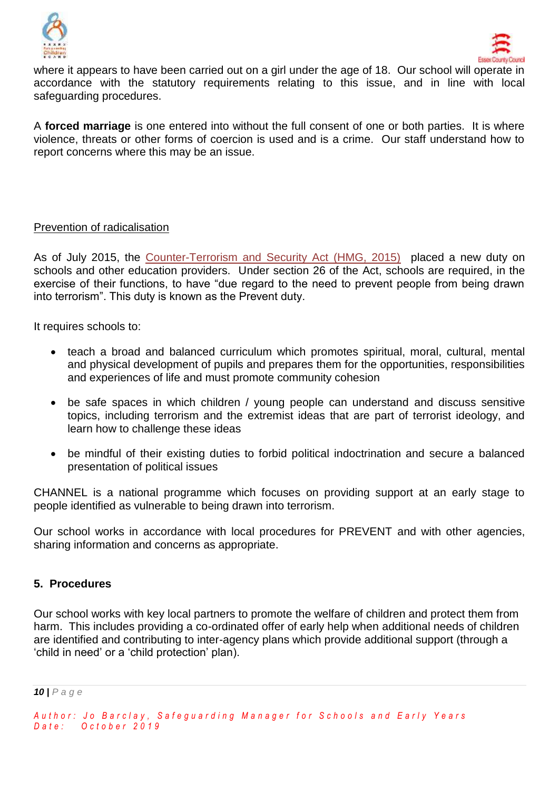



where it appears to have been carried out on a girl under the age of 18. Our school will operate in accordance with the statutory requirements relating to this issue, and in line with local safeguarding procedures.

A **forced marriage** is one entered into without the full consent of one or both parties. It is where violence, threats or other forms of coercion is used and is a crime. Our staff understand how to report concerns where this may be an issue.

#### Prevention of radicalisation

As of July 2015, the [Counter-Terrorism and Security Act \(HMG, 2015\)](http://www.legislation.gov.uk/ukpga/2015/6/contents) placed a new duty on schools and other education providers. Under section 26 of the Act, schools are required, in the exercise of their functions, to have "due regard to the need to prevent people from being drawn into terrorism". This duty is known as the Prevent duty.

It requires schools to:

- teach a broad and balanced curriculum which promotes spiritual, moral, cultural, mental and physical development of pupils and prepares them for the opportunities, responsibilities and experiences of life and must promote community cohesion
- be safe spaces in which children / young people can understand and discuss sensitive topics, including terrorism and the extremist ideas that are part of terrorist ideology, and learn how to challenge these ideas
- be mindful of their existing duties to forbid political indoctrination and secure a balanced presentation of political issues

CHANNEL is a national programme which focuses on providing support at an early stage to people identified as vulnerable to being drawn into terrorism.

Our school works in accordance with local procedures for PREVENT and with other agencies, sharing information and concerns as appropriate.

#### **5. Procedures**

Our school works with key local partners to promote the welfare of children and protect them from harm. This includes providing a co-ordinated offer of early help when additional needs of children are identified and contributing to inter-agency plans which provide additional support (through a 'child in need' or a 'child protection' plan).

*10 | P a g e*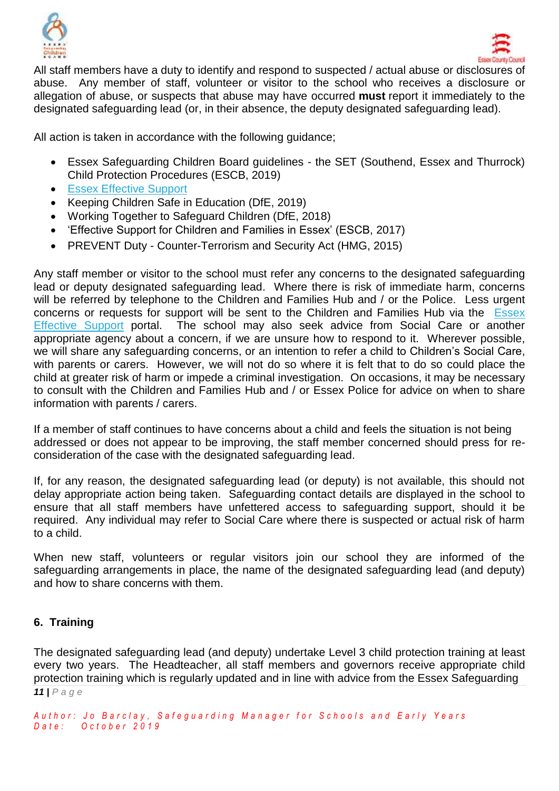



All staff members have a duty to identify and respond to suspected / actual abuse or disclosures of abuse. Any member of staff, volunteer or visitor to the school who receives a disclosure or allegation of abuse, or suspects that abuse may have occurred **must** report it immediately to the designated safeguarding lead (or, in their absence, the deputy designated safeguarding lead).

All action is taken in accordance with the following guidance;

- Essex Safeguarding Children Board guidelines the SET (Southend, Essex and Thurrock) Child Protection Procedures (ESCB, 2019)
- **[Essex Effective Support](http://links.govdelivery.com/track?type=click&enid=ZWFzPTEmbWFpbGluZ2lkPTIwMTgwNDExLjg4MjIzMTExJm1lc3NhZ2VpZD1NREItUFJELUJVTC0yMDE4MDQxMS44ODIyMzExMSZkYXRhYmFzZWlkPTEwMDEmc2VyaWFsPTE3MzE0NjA5JmVtYWlsaWQ9am8uYmFyY2xheUBlc3NleC5nb3YudWsmdXNlcmlkPWpvLmJhcmNsYXlAZXNzZXguZ292LnVrJmZsPSZleHRyYT1NdWx0aXZhcmlhdGVJZD0mJiY=&&&100&&&https://www.essexeffectivesupport.org.uk/)**
- Keeping Children Safe in Education (DfE, 2019)
- Working Together to Safeguard Children (DfE, 2018)
- 'Effective Support for Children and Families in Essex' (ESCB, 2017)
- PREVENT Duty Counter-Terrorism and Security Act (HMG, 2015)

Any staff member or visitor to the school must refer any concerns to the designated safeguarding lead or deputy designated safeguarding lead. Where there is risk of immediate harm, concerns will be referred by telephone to the Children and Families Hub and / or the Police. Less urgent concerns or requests for support will be sent to the Children and Families Hub via the [Essex](http://links.govdelivery.com/track?type=click&enid=ZWFzPTEmbWFpbGluZ2lkPTIwMTgwNDExLjg4MjIzMTExJm1lc3NhZ2VpZD1NREItUFJELUJVTC0yMDE4MDQxMS44ODIyMzExMSZkYXRhYmFzZWlkPTEwMDEmc2VyaWFsPTE3MzE0NjA5JmVtYWlsaWQ9am8uYmFyY2xheUBlc3NleC5nb3YudWsmdXNlcmlkPWpvLmJhcmNsYXlAZXNzZXguZ292LnVrJmZsPSZleHRyYT1NdWx0aXZhcmlhdGVJZD0mJiY=&&&100&&&https://www.essexeffectivesupport.org.uk/)  [Effective Support](http://links.govdelivery.com/track?type=click&enid=ZWFzPTEmbWFpbGluZ2lkPTIwMTgwNDExLjg4MjIzMTExJm1lc3NhZ2VpZD1NREItUFJELUJVTC0yMDE4MDQxMS44ODIyMzExMSZkYXRhYmFzZWlkPTEwMDEmc2VyaWFsPTE3MzE0NjA5JmVtYWlsaWQ9am8uYmFyY2xheUBlc3NleC5nb3YudWsmdXNlcmlkPWpvLmJhcmNsYXlAZXNzZXguZ292LnVrJmZsPSZleHRyYT1NdWx0aXZhcmlhdGVJZD0mJiY=&&&100&&&https://www.essexeffectivesupport.org.uk/) portal. The school may also seek advice from Social Care or another appropriate agency about a concern, if we are unsure how to respond to it. Wherever possible, we will share any safeguarding concerns, or an intention to refer a child to Children's Social Care, with parents or carers. However, we will not do so where it is felt that to do so could place the child at greater risk of harm or impede a criminal investigation. On occasions, it may be necessary to consult with the Children and Families Hub and / or Essex Police for advice on when to share information with parents / carers.

If a member of staff continues to have concerns about a child and feels the situation is not being addressed or does not appear to be improving, the staff member concerned should press for reconsideration of the case with the designated safeguarding lead.

If, for any reason, the designated safeguarding lead (or deputy) is not available, this should not delay appropriate action being taken. Safeguarding contact details are displayed in the school to ensure that all staff members have unfettered access to safeguarding support, should it be required. Any individual may refer to Social Care where there is suspected or actual risk of harm to a child.

When new staff, volunteers or regular visitors join our school they are informed of the safeguarding arrangements in place, the name of the designated safeguarding lead (and deputy) and how to share concerns with them.

#### **6. Training**

*11 | P a g e* The designated safeguarding lead (and deputy) undertake Level 3 child protection training at least every two years. The Headteacher, all staff members and governors receive appropriate child protection training which is regularly updated and in line with advice from the Essex Safeguarding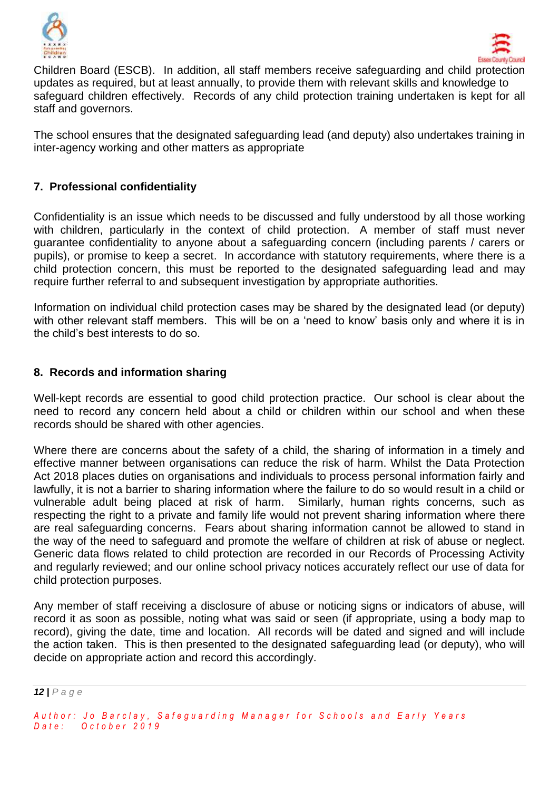



Children Board (ESCB). In addition, all staff members receive safeguarding and child protection updates as required, but at least annually, to provide them with relevant skills and knowledge to safeguard children effectively. Records of any child protection training undertaken is kept for all staff and governors.

The school ensures that the designated safeguarding lead (and deputy) also undertakes training in inter-agency working and other matters as appropriate

#### **7. Professional confidentiality**

Confidentiality is an issue which needs to be discussed and fully understood by all those working with children, particularly in the context of child protection. A member of staff must never guarantee confidentiality to anyone about a safeguarding concern (including parents / carers or pupils), or promise to keep a secret. In accordance with statutory requirements, where there is a child protection concern, this must be reported to the designated safeguarding lead and may require further referral to and subsequent investigation by appropriate authorities.

Information on individual child protection cases may be shared by the designated lead (or deputy) with other relevant staff members. This will be on a 'need to know' basis only and where it is in the child's best interests to do so.

#### **8. Records and information sharing**

Well-kept records are essential to good child protection practice. Our school is clear about the need to record any concern held about a child or children within our school and when these records should be shared with other agencies.

Where there are concerns about the safety of a child, the sharing of information in a timely and effective manner between organisations can reduce the risk of harm. Whilst the Data Protection Act 2018 places duties on organisations and individuals to process personal information fairly and lawfully, it is not a barrier to sharing information where the failure to do so would result in a child or vulnerable adult being placed at risk of harm. Similarly, human rights concerns, such as respecting the right to a private and family life would not prevent sharing information where there are real safeguarding concerns. Fears about sharing information cannot be allowed to stand in the way of the need to safeguard and promote the welfare of children at risk of abuse or neglect. Generic data flows related to child protection are recorded in our Records of Processing Activity and regularly reviewed; and our online school privacy notices accurately reflect our use of data for child protection purposes.

Any member of staff receiving a disclosure of abuse or noticing signs or indicators of abuse, will record it as soon as possible, noting what was said or seen (if appropriate, using a body map to record), giving the date, time and location. All records will be dated and signed and will include the action taken. This is then presented to the designated safeguarding lead (or deputy), who will decide on appropriate action and record this accordingly.

*<sup>12</sup> | P a g e*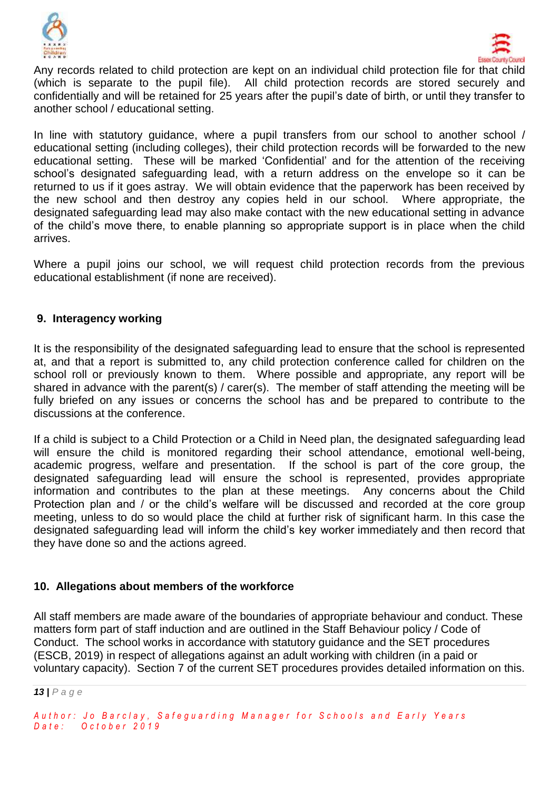



Any records related to child protection are kept on an individual child protection file for that child (which is separate to the pupil file). All child protection records are stored securely and confidentially and will be retained for 25 years after the pupil's date of birth, or until they transfer to another school / educational setting.

In line with statutory guidance, where a pupil transfers from our school to another school / educational setting (including colleges), their child protection records will be forwarded to the new educational setting. These will be marked 'Confidential' and for the attention of the receiving school's designated safeguarding lead, with a return address on the envelope so it can be returned to us if it goes astray. We will obtain evidence that the paperwork has been received by the new school and then destroy any copies held in our school. Where appropriate, the designated safeguarding lead may also make contact with the new educational setting in advance of the child's move there, to enable planning so appropriate support is in place when the child arrives.

Where a pupil joins our school, we will request child protection records from the previous educational establishment (if none are received).

#### **9. Interagency working**

It is the responsibility of the designated safeguarding lead to ensure that the school is represented at, and that a report is submitted to, any child protection conference called for children on the school roll or previously known to them. Where possible and appropriate, any report will be shared in advance with the parent(s) / carer(s). The member of staff attending the meeting will be fully briefed on any issues or concerns the school has and be prepared to contribute to the discussions at the conference.

If a child is subject to a Child Protection or a Child in Need plan, the designated safeguarding lead will ensure the child is monitored regarding their school attendance, emotional well-being, academic progress, welfare and presentation. If the school is part of the core group, the designated safeguarding lead will ensure the school is represented, provides appropriate information and contributes to the plan at these meetings. Any concerns about the Child Protection plan and / or the child's welfare will be discussed and recorded at the core group meeting, unless to do so would place the child at further risk of significant harm. In this case the designated safeguarding lead will inform the child's key worker immediately and then record that they have done so and the actions agreed.

#### **10. Allegations about members of the workforce**

All staff members are made aware of the boundaries of appropriate behaviour and conduct. These matters form part of staff induction and are outlined in the Staff Behaviour policy / Code of Conduct. The school works in accordance with statutory guidance and the SET procedures (ESCB, 2019) in respect of allegations against an adult working with children (in a paid or voluntary capacity). Section 7 of the current SET procedures provides detailed information on this.

*<sup>13</sup> | P a g e*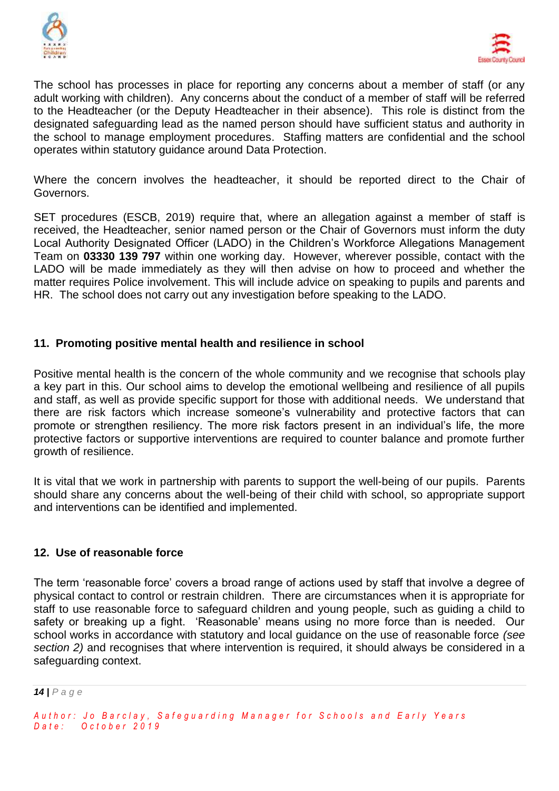



The school has processes in place for reporting any concerns about a member of staff (or any adult working with children). Any concerns about the conduct of a member of staff will be referred to the Headteacher (or the Deputy Headteacher in their absence). This role is distinct from the designated safeguarding lead as the named person should have sufficient status and authority in the school to manage employment procedures. Staffing matters are confidential and the school operates within statutory guidance around Data Protection.

Where the concern involves the headteacher, it should be reported direct to the Chair of Governors.

SET procedures (ESCB, 2019) require that, where an allegation against a member of staff is received, the Headteacher, senior named person or the Chair of Governors must inform the duty Local Authority Designated Officer (LADO) in the Children's Workforce Allegations Management Team on **03330 139 797** within one working day. However, wherever possible, contact with the LADO will be made immediately as they will then advise on how to proceed and whether the matter requires Police involvement. This will include advice on speaking to pupils and parents and HR. The school does not carry out any investigation before speaking to the LADO.

#### **11. Promoting positive mental health and resilience in school**

Positive mental health is the concern of the whole community and we recognise that schools play a key part in this. Our school aims to develop the emotional wellbeing and resilience of all pupils and staff, as well as provide specific support for those with additional needs. We understand that there are risk factors which increase someone's vulnerability and protective factors that can promote or strengthen resiliency. The more risk factors present in an individual's life, the more protective factors or supportive interventions are required to counter balance and promote further growth of resilience.

It is vital that we work in partnership with parents to support the well-being of our pupils. Parents should share any concerns about the well-being of their child with school, so appropriate support and interventions can be identified and implemented.

#### **12. Use of reasonable force**

The term 'reasonable force' covers a broad range of actions used by staff that involve a degree of physical contact to control or restrain children. There are circumstances when it is appropriate for staff to use reasonable force to safeguard children and young people, such as guiding a child to safety or breaking up a fight. 'Reasonable' means using no more force than is needed. Our school works in accordance with statutory and local guidance on the use of reasonable force *(see section 2)* and recognises that where intervention is required, it should always be considered in a safeguarding context.

*Author: Jo Barclay, Safeguarding Manager for Schools and Early Years D a t e : O c t o b e r 2 0 1 9*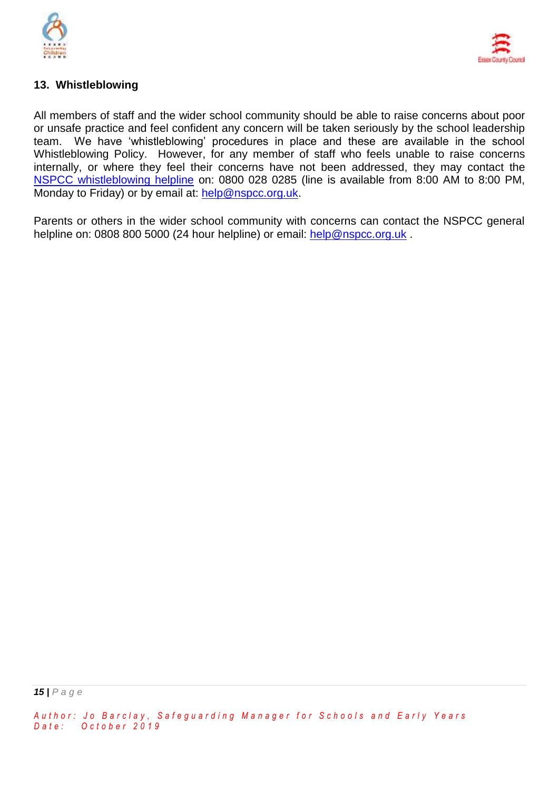



#### **13. Whistleblowing**

All members of staff and the wider school community should be able to raise concerns about poor or unsafe practice and feel confident any concern will be taken seriously by the school leadership team. We have 'whistleblowing' procedures in place and these are available in the school Whistleblowing Policy. However, for any member of staff who feels unable to raise concerns internally, or where they feel their concerns have not been addressed, they may contact the [NSPCC whistleblowing helpline](https://www.nspcc.org.uk/what-you-can-do/report-abuse/dedicated-helplines/whistleblowing-advice-line/) on: 0800 028 0285 (line is available from 8:00 AM to 8:00 PM, Monday to Friday) or by email at: [help@nspcc.org.uk.](mailto:help@nspcc.org.uk)

Parents or others in the wider school community with concerns can contact the NSPCC general helpline on: 0808 800 5000 (24 hour helpline) or email: [help@nspcc.org.uk](mailto:help@nspcc.org.uk).

*Author: Jo Barclay, Safeguarding Manager for Schools and Early Years D a t e : O c t o b e r 2 0 1 9*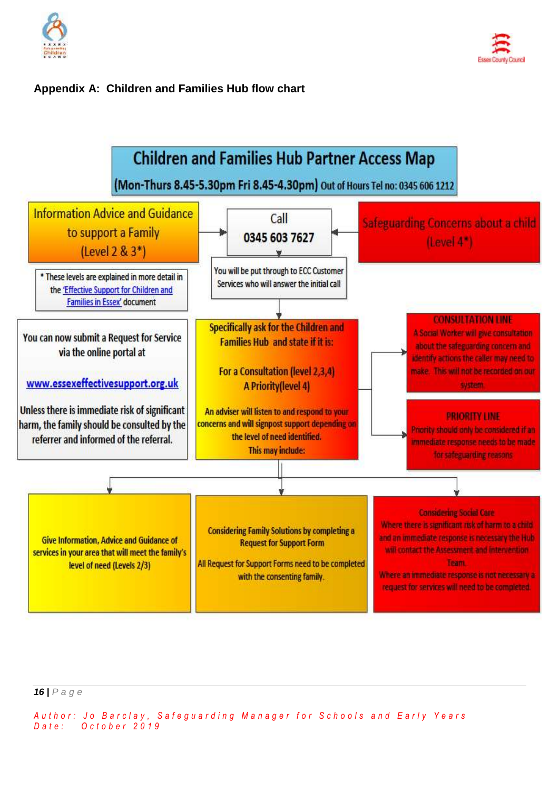

#### **Appendix A: Children and Families Hub flow chart**



*16 | P a g e*